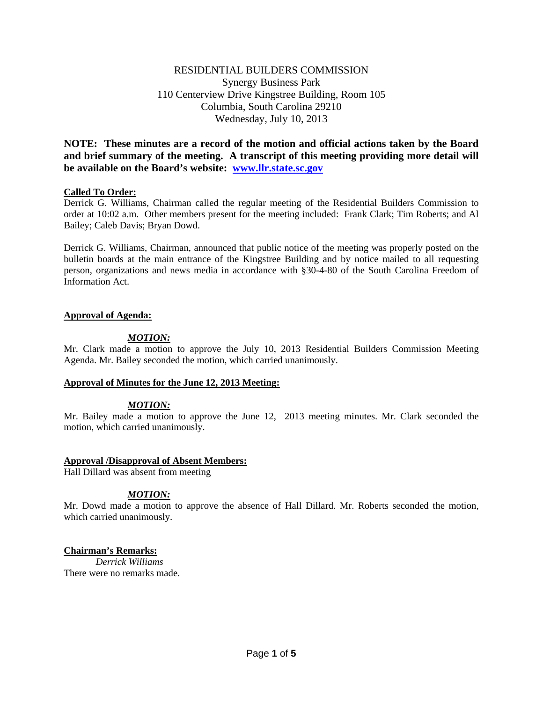# RESIDENTIAL BUILDERS COMMISSION Synergy Business Park 110 Centerview Drive Kingstree Building, Room 105 Columbia, South Carolina 29210 Wednesday, July 10, 2013

**NOTE: These minutes are a record of the motion and official actions taken by the Board and brief summary of the meeting. A transcript of this meeting providing more detail will be available on the Board's website: [www.llr.state.sc.gov](http://www.llr.state.sc.gov/)**

### **Called To Order:**

Derrick G. Williams, Chairman called the regular meeting of the Residential Builders Commission to order at 10:02 a.m. Other members present for the meeting included: Frank Clark; Tim Roberts; and Al Bailey; Caleb Davis; Bryan Dowd.

Derrick G. Williams, Chairman, announced that public notice of the meeting was properly posted on the bulletin boards at the main entrance of the Kingstree Building and by notice mailed to all requesting person, organizations and news media in accordance with §30-4-80 of the South Carolina Freedom of Information Act.

## **Approval of Agenda:**

## *MOTION:*

Mr. Clark made a motion to approve the July 10, 2013 Residential Builders Commission Meeting Agenda. Mr. Bailey seconded the motion, which carried unanimously.

### **Approval of Minutes for the June 12, 2013 Meeting:**

# *MOTION:*

Mr. Bailey made a motion to approve the June 12, 2013 meeting minutes. Mr. Clark seconded the motion, which carried unanimously.

### **Approval /Disapproval of Absent Members:**

Hall Dillard was absent from meeting

# *MOTION:*

Mr. Dowd made a motion to approve the absence of Hall Dillard. Mr. Roberts seconded the motion, which carried unanimously.

# **Chairman's Remarks:**

*Derrick Williams* There were no remarks made.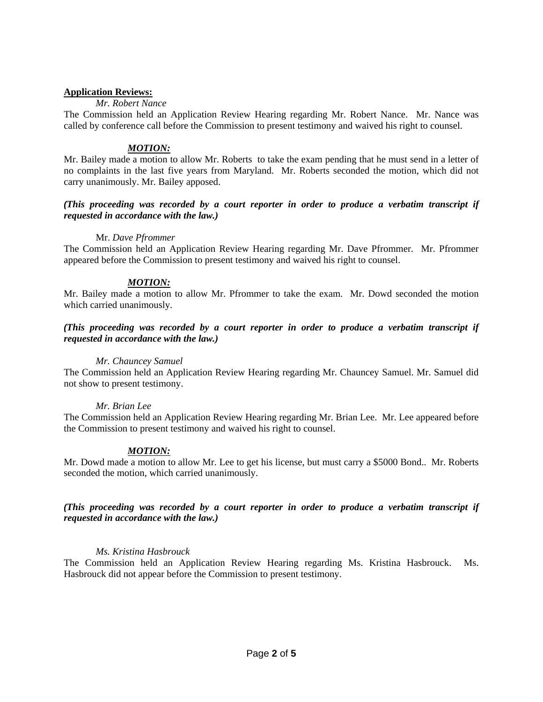### **Application Reviews:**

#### *Mr. Robert Nance*

The Commission held an Application Review Hearing regarding Mr. Robert Nance. Mr. Nance was called by conference call before the Commission to present testimony and waived his right to counsel.

### *MOTION:*

Mr. Bailey made a motion to allow Mr. Roberts to take the exam pending that he must send in a letter of no complaints in the last five years from Maryland. Mr. Roberts seconded the motion, which did not carry unanimously. Mr. Bailey apposed.

### *(This proceeding was recorded by a court reporter in order to produce a verbatim transcript if requested in accordance with the law.)*

#### Mr. *Dave Pfrommer*

The Commission held an Application Review Hearing regarding Mr. Dave Pfrommer. Mr. Pfrommer appeared before the Commission to present testimony and waived his right to counsel.

## *MOTION:*

Mr. Bailey made a motion to allow Mr. Pfrommer to take the exam. Mr. Dowd seconded the motion which carried unanimously.

#### *(This proceeding was recorded by a court reporter in order to produce a verbatim transcript if requested in accordance with the law.)*

### *Mr. Chauncey Samuel*

The Commission held an Application Review Hearing regarding Mr. Chauncey Samuel. Mr. Samuel did not show to present testimony.

#### *Mr. Brian Lee*

The Commission held an Application Review Hearing regarding Mr. Brian Lee. Mr. Lee appeared before the Commission to present testimony and waived his right to counsel.

### *MOTION:*

Mr. Dowd made a motion to allow Mr. Lee to get his license, but must carry a \$5000 Bond.. Mr. Roberts seconded the motion, which carried unanimously.

## *(This proceeding was recorded by a court reporter in order to produce a verbatim transcript if requested in accordance with the law.)*

### *Ms. Kristina Hasbrouck*

The Commission held an Application Review Hearing regarding Ms. Kristina Hasbrouck. Ms. Hasbrouck did not appear before the Commission to present testimony.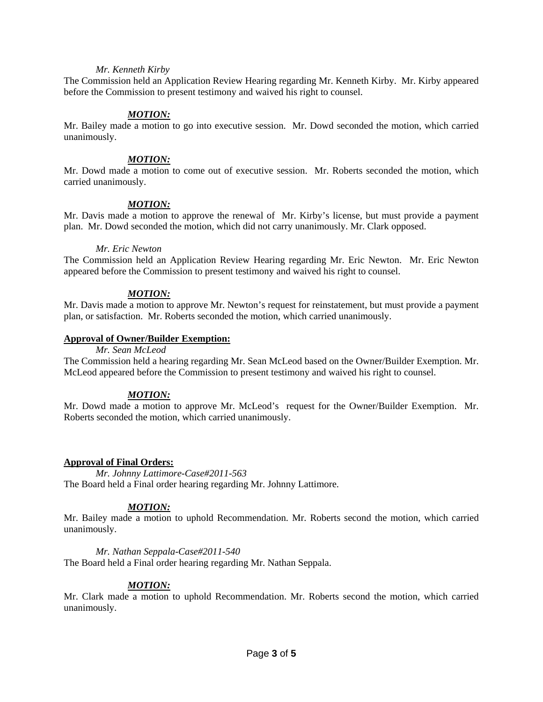### *Mr. Kenneth Kirby*

The Commission held an Application Review Hearing regarding Mr. Kenneth Kirby. Mr. Kirby appeared before the Commission to present testimony and waived his right to counsel.

### *MOTION:*

Mr. Bailey made a motion to go into executive session. Mr. Dowd seconded the motion, which carried unanimously.

# *MOTION:*

Mr. Dowd made a motion to come out of executive session. Mr. Roberts seconded the motion, which carried unanimously.

#### *MOTION:*

Mr. Davis made a motion to approve the renewal of Mr. Kirby's license, but must provide a payment plan. Mr. Dowd seconded the motion, which did not carry unanimously. Mr. Clark opposed.

#### *Mr. Eric Newton*

The Commission held an Application Review Hearing regarding Mr. Eric Newton. Mr. Eric Newton appeared before the Commission to present testimony and waived his right to counsel.

#### *MOTION:*

Mr. Davis made a motion to approve Mr. Newton's request for reinstatement, but must provide a payment plan, or satisfaction. Mr. Roberts seconded the motion, which carried unanimously.

#### **Approval of Owner/Builder Exemption:**

#### *Mr. Sean McLeod*

The Commission held a hearing regarding Mr. Sean McLeod based on the Owner/Builder Exemption. Mr. McLeod appeared before the Commission to present testimony and waived his right to counsel.

### *MOTION:*

Mr. Dowd made a motion to approve Mr. McLeod's request for the Owner/Builder Exemption. Mr. Roberts seconded the motion, which carried unanimously.

### **Approval of Final Orders:**

*Mr. Johnny Lattimore-Case#2011-563* The Board held a Final order hearing regarding Mr. Johnny Lattimore.

### *MOTION:*

Mr. Bailey made a motion to uphold Recommendation. Mr. Roberts second the motion, which carried unanimously.

#### *Mr. Nathan Seppala-Case#2011-540*

The Board held a Final order hearing regarding Mr. Nathan Seppala.

### *MOTION:*

Mr. Clark made a motion to uphold Recommendation. Mr. Roberts second the motion, which carried unanimously.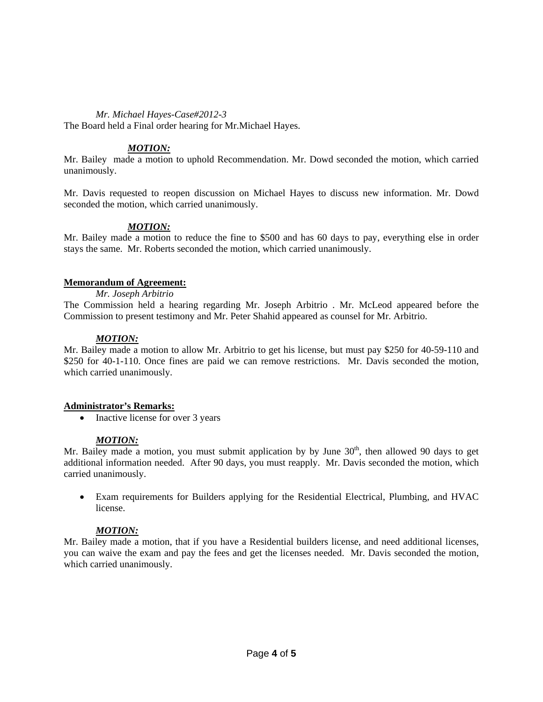### *Mr. Michael Hayes-Case#2012-3*

The Board held a Final order hearing for Mr.Michael Hayes.

# *MOTION:*

Mr. Bailey made a motion to uphold Recommendation. Mr. Dowd seconded the motion, which carried unanimously.

Mr. Davis requested to reopen discussion on Michael Hayes to discuss new information. Mr. Dowd seconded the motion, which carried unanimously.

## *MOTION:*

Mr. Bailey made a motion to reduce the fine to \$500 and has 60 days to pay, everything else in order stays the same. Mr. Roberts seconded the motion, which carried unanimously.

### **Memorandum of Agreement:**

### *Mr. Joseph Arbitrio*

The Commission held a hearing regarding Mr. Joseph Arbitrio . Mr. McLeod appeared before the Commission to present testimony and Mr. Peter Shahid appeared as counsel for Mr. Arbitrio.

### *MOTION:*

Mr. Bailey made a motion to allow Mr. Arbitrio to get his license, but must pay \$250 for 40-59-110 and \$250 for 40-1-110. Once fines are paid we can remove restrictions. Mr. Davis seconded the motion, which carried unanimously.

### **Administrator's Remarks:**

• Inactive license for over 3 years

### *MOTION:*

Mr. Bailey made a motion, you must submit application by by June  $30<sup>th</sup>$ , then allowed 90 days to get additional information needed. After 90 days, you must reapply. Mr. Davis seconded the motion, which carried unanimously.

• Exam requirements for Builders applying for the Residential Electrical, Plumbing, and HVAC license.

# *MOTION:*

Mr. Bailey made a motion, that if you have a Residential builders license, and need additional licenses, you can waive the exam and pay the fees and get the licenses needed. Mr. Davis seconded the motion, which carried unanimously.